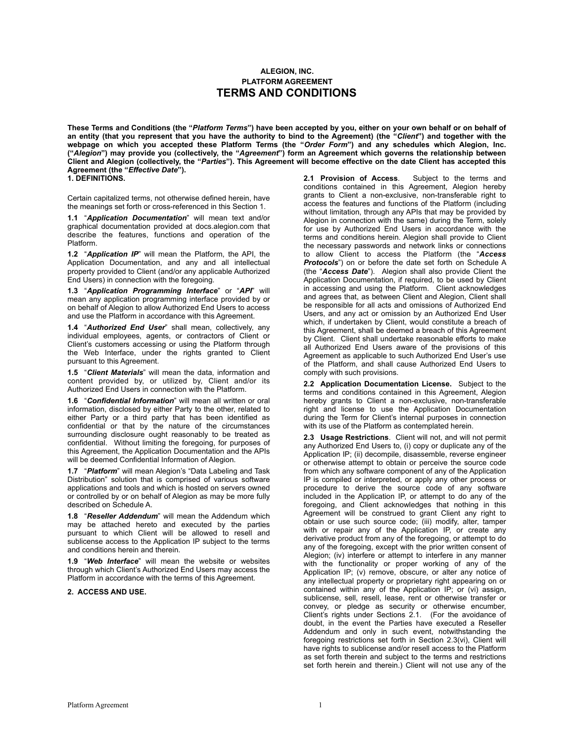# **ALEGION, INC. PLATFORM AGREEMENT TERMS AND CONDITIONS**

**These Terms and Conditions (the "***Platform Terms***") have been accepted by you, either on your own behalf or on behalf of an entity (that you represent that you have the authority to bind to the Agreement) (the "***Client***") and together with the webpage on which you accepted these Platform Terms (the "***Order Form***") and any schedules which Alegion, Inc. ("***Alegion***") may provide you (collectively, the "***Agreement***") form an Agreement which governs the relationship between Client and Alegion (collectively, the "***Parties***"). This Agreement will become effective on the date Client has accepted this Agreement (the "***Effective Date***"). 1. DEFINITIONS.**

Certain capitalized terms, not otherwise defined herein, have the meanings set forth or cross-referenced in this Section 1.

**1.1** "*Application Documentation*" will mean text and/or graphical documentation provided at docs.alegion.com that describe the features, functions and operation of the Platform.

**1.2** "*Application IP*" will mean the Platform, the API, the Application Documentation, and any and all intellectual property provided to Client (and/or any applicable Authorized End Users) in connection with the foregoing.

**1.3** "*Application Programming Interface*" or "*API*" will mean any application programming interface provided by or on behalf of Alegion to allow Authorized End Users to access and use the Platform in accordance with this Agreement.

**1.4** "*Authorized End User*" shall mean, collectively, any individual employees, agents, or contractors of Client or Client's customers accessing or using the Platform through the Web Interface, under the rights granted to Client pursuant to this Agreement.

**1.5** "*Client Materials*" will mean the data, information and content provided by, or utilized by, Client and/or its Authorized End Users in connection with the Platform.

**1.6** "*Confidential Information*" will mean all written or oral information, disclosed by either Party to the other, related to either Party or a third party that has been identified as confidential or that by the nature of the circumstances surrounding disclosure ought reasonably to be treated as confidential. Without limiting the foregoing, for purposes of this Agreement, the Application Documentation and the APIs will be deemed Confidential Information of Alegion.

**1.7** "*Platform*" will mean Alegion's "Data Labeling and Task Distribution" solution that is comprised of various software applications and tools and which is hosted on servers owned or controlled by or on behalf of Alegion as may be more fully described on Schedule A.

**1.8** "*Reseller Addendum*" will mean the Addendum which may be attached hereto and executed by the parties pursuant to which Client will be allowed to resell and sublicense access to the Application IP subject to the terms and conditions herein and therein.

**1.9** "*Web Interface*" will mean the website or websites through which Client's Authorized End Users may access the Platform in accordance with the terms of this Agreement.

**2. ACCESS AND USE.** 

**2.1 Provision of Access**. Subject to the terms and conditions contained in this Agreement, Alegion hereby grants to Client a non-exclusive, non-transferable right to access the features and functions of the Platform (including without limitation, through any APIs that may be provided by Alegion in connection with the same) during the Term, solely for use by Authorized End Users in accordance with the terms and conditions herein. Alegion shall provide to Client the necessary passwords and network links or connections to allow Client to access the Platform (the "*Access*  **Protocols**") on or before the date set forth on Schedule A (the "*Access Date*"). Alegion shall also provide Client the Application Documentation, if required, to be used by Client in accessing and using the Platform. Client acknowledges and agrees that, as between Client and Alegion, Client shall be responsible for all acts and omissions of Authorized End Users, and any act or omission by an Authorized End User which, if undertaken by Client, would constitute a breach of this Agreement, shall be deemed a breach of this Agreement by Client. Client shall undertake reasonable efforts to make all Authorized End Users aware of the provisions of this Agreement as applicable to such Authorized End User's use of the Platform, and shall cause Authorized End Users to comply with such provisions.

**2.2 Application Documentation License.** Subject to the terms and conditions contained in this Agreement, Alegion hereby grants to Client a non-exclusive, non-transferable right and license to use the Application Documentation during the Term for Client's internal purposes in connection with its use of the Platform as contemplated herein.

**2.3 Usage Restrictions**. Client will not, and will not permit any Authorized End Users to, (i) copy or duplicate any of the Application IP; (ii) decompile, disassemble, reverse engineer or otherwise attempt to obtain or perceive the source code from which any software component of any of the Application IP is compiled or interpreted, or apply any other process or procedure to derive the source code of any software included in the Application IP, or attempt to do any of the foregoing, and Client acknowledges that nothing in this Agreement will be construed to grant Client any right to obtain or use such source code; (iii) modify, alter, tamper with or repair any of the Application IP, or create any derivative product from any of the foregoing, or attempt to do any of the foregoing, except with the prior written consent of Alegion; (iv) interfere or attempt to interfere in any manner with the functionality or proper working of any of the Application IP; (v) remove, obscure, or alter any notice of any intellectual property or proprietary right appearing on or contained within any of the Application IP; or (vi) assign, sublicense, sell, resell, lease, rent or otherwise transfer or convey, or pledge as security or otherwise encumber, Client's rights under Sections 2.1. (For the avoidance of doubt, in the event the Parties have executed a Reseller Addendum and only in such event, notwithstanding the foregoing restrictions set forth in Section 2.3(vi), Client will have rights to sublicense and/or resell access to the Platform as set forth therein and subject to the terms and restrictions set forth herein and therein.) Client will not use any of the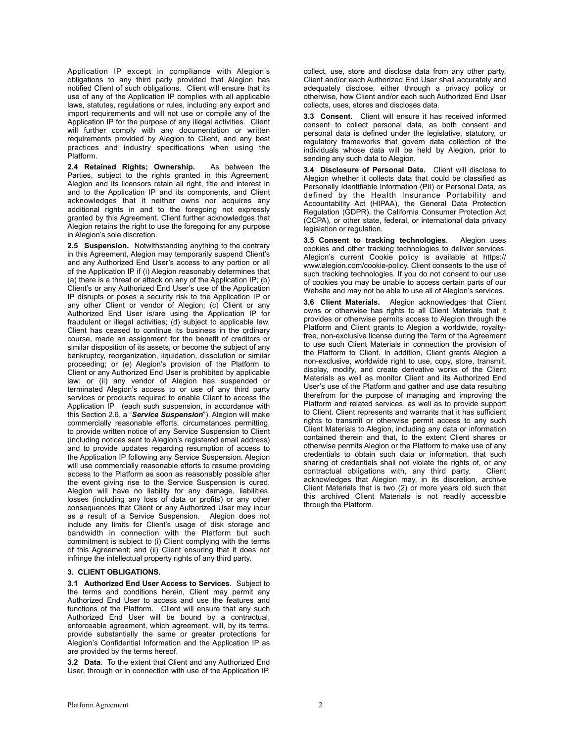Application IP except in compliance with Alegion's obligations to any third party provided that Alegion has notified Client of such obligations. Client will ensure that its use of any of the Application IP complies with all applicable laws, statutes, regulations or rules, including any export and import requirements and will not use or compile any of the Application IP for the purpose of any illegal activities. Client will further comply with any documentation or written requirements provided by Alegion to Client, and any best practices and industry specifications when using the Platform.

**2.4 Retained Rights; Ownership.** As between the Parties, subject to the rights granted in this Agreement, Alegion and its licensors retain all right, title and interest in and to the Application IP and its components, and Client acknowledges that it neither owns nor acquires any additional rights in and to the foregoing not expressly granted by this Agreement. Client further acknowledges that Alegion retains the right to use the foregoing for any purpose in Alegion's sole discretion.

**2.5 Suspension.** Notwithstanding anything to the contrary in this Agreement, Alegion may temporarily suspend Client's and any Authorized End User's access to any portion or all of the Application IP if (i) Alegion reasonably determines that (a) there is a threat or attack on any of the Application IP; (b) Client's or any Authorized End User's use of the Application IP disrupts or poses a security risk to the Application IP or any other Client or vendor of Alegion; (c) Client or any Authorized End User is/are using the Application IP for fraudulent or illegal activities; (d) subject to applicable law, Client has ceased to continue its business in the ordinary course, made an assignment for the benefit of creditors or similar disposition of its assets, or become the subject of any bankruptcy, reorganization, liquidation, dissolution or similar proceeding; or (e) Alegion's provision of the Platform to Client or any Authorized End User is prohibited by applicable law; or (ii) any vendor of Alegion has suspended or terminated Alegion's access to or use of any third party services or products required to enable Client to access the Application IP (each such suspension, in accordance with this Section 2.6, a "*Service Suspension*"). Alegion will make commercially reasonable efforts, circumstances permitting, to provide written notice of any Service Suspension to Client (including notices sent to Alegion's registered email address) and to provide updates regarding resumption of access to the Application IP following any Service Suspension. Alegion will use commercially reasonable efforts to resume providing access to the Platform as soon as reasonably possible after the event giving rise to the Service Suspension is cured. Alegion will have no liability for any damage, liabilities, losses (including any loss of data or profits) or any other consequences that Client or any Authorized User may incur as a result of a Service Suspension. Alegion does not include any limits for Client's usage of disk storage and bandwidth in connection with the Platform but such commitment is subject to (i) Client complying with the terms of this Agreement; and (ii) Client ensuring that it does not infringe the intellectual property rights of any third party.

#### **3. CLIENT OBLIGATIONS.**

**3.1 Authorized End User Access to Services**. Subject to the terms and conditions herein, Client may permit any Authorized End User to access and use the features and functions of the Platform. Client will ensure that any such Authorized End User will be bound by a contractual, enforceable agreement, which agreement, will, by its terms, provide substantially the same or greater protections for Alegion's Confidential Information and the Application IP as are provided by the terms hereof.

**3.2 Data**. To the extent that Client and any Authorized End User, through or in connection with use of the Application IP, collect, use, store and disclose data from any other party, Client and/or each Authorized End User shall accurately and adequately disclose, either through a privacy policy or otherwise, how Client and/or each such Authorized End User collects, uses, stores and discloses data.

**3.3 Consent.** Client will ensure it has received informed consent to collect personal data, as both consent and personal data is defined under the legislative, statutory, or regulatory frameworks that govern data collection of the individuals whose data will be held by Alegion, prior to sending any such data to Alegion.

**3.4 Disclosure of Personal Data.** Client will disclose to Alegion whether it collects data that could be classified as Personally Identifiable Information (PII) or Personal Data, as defined by the Health Insurance Portability and Accountability Act (HIPAA), the General Data Protection Regulation (GDPR), the California Consumer Protection Act (CCPA), or other state, federal, or international data privacy legislation or regulation.

**3.5 Consent to tracking technologies.** Alegion uses cookies and other tracking technologies to deliver services. Alegion's current Cookie policy is available at https:// www.alegion.com/cookie-policy. Client consents to the use of such tracking technologies. If you do not consent to our use of cookies you may be unable to access certain parts of our Website and may not be able to use all of Alegion's services.

**3.6 Client Materials.** Alegion acknowledges that Client owns or otherwise has rights to all Client Materials that it provides or otherwise permits access to Alegion through the Platform and Client grants to Alegion a worldwide, royaltyfree, non-exclusive license during the Term of the Agreement to use such Client Materials in connection the provision of the Platform to Client. In addition, Client grants Alegion a non-exclusive, worldwide right to use, copy, store, transmit, display, modify, and create derivative works of the Client Materials as well as monitor Client and its Authorized End User's use of the Platform and gather and use data resulting therefrom for the purpose of managing and improving the Platform and related services, as well as to provide support to Client. Client represents and warrants that it has sufficient rights to transmit or otherwise permit access to any such Client Materials to Alegion, including any data or information contained therein and that, to the extent Client shares or otherwise permits Alegion or the Platform to make use of any credentials to obtain such data or information, that such sharing of credentials shall not violate the rights of, or any<br>contractual obligations with any third party. Client  $contractual$  obligations with, any third party. acknowledges that Alegion may, in its discretion, archive Client Materials that is two (2) or more years old such that this archived Client Materials is not readily accessible through the Platform.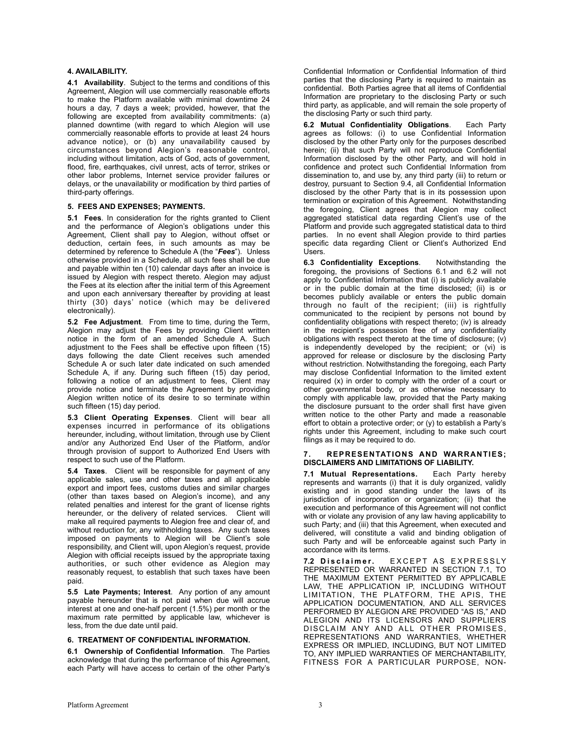### **4. AVAILABILITY.**

**4.1 Availability**. Subject to the terms and conditions of this Agreement, Alegion will use commercially reasonable efforts to make the Platform available with minimal downtime 24 hours a day, 7 days a week; provided, however, that the following are excepted from availability commitments: (a) planned downtime (with regard to which Alegion will use commercially reasonable efforts to provide at least 24 hours advance notice), or (b) any unavailability caused by circumstances beyond Alegion's reasonable control, including without limitation, acts of God, acts of government, flood, fire, earthquakes, civil unrest, acts of terror, strikes or other labor problems, Internet service provider failures or delays, or the unavailability or modification by third parties of third-party offerings.

## **5. FEES AND EXPENSES; PAYMENTS.**

**5.1 Fees**. In consideration for the rights granted to Client and the performance of Alegion's obligations under this Agreement, Client shall pay to Alegion, without offset or deduction, certain fees, in such amounts as may be determined by reference to Schedule A (the "*Fees*"). Unless otherwise provided in a Schedule, all such fees shall be due and payable within ten (10) calendar days after an invoice is issued by Alegion with respect thereto. Alegion may adjust the Fees at its election after the initial term of this Agreement and upon each anniversary thereafter by providing at least thirty (30) days' notice (which may be delivered electronically).

**5.2 Fee Adjustment**. From time to time, during the Term, Alegion may adjust the Fees by providing Client written notice in the form of an amended Schedule A. Such adjustment to the Fees shall be effective upon fifteen (15) days following the date Client receives such amended Schedule A or such later date indicated on such amended Schedule A, if any. During such fifteen (15) day period, following a notice of an adjustment to fees, Client may provide notice and terminate the Agreement by providing Alegion written notice of its desire to so terminate within such fifteen (15) day period.

**5.3 Client Operating Expenses**. Client will bear all expenses incurred in performance of its obligations hereunder, including, without limitation, through use by Client and/or any Authorized End User of the Platform, and/or through provision of support to Authorized End Users with respect to such use of the Platform.

**5.4 Taxes**. Client will be responsible for payment of any applicable sales, use and other taxes and all applicable export and import fees, customs duties and similar charges (other than taxes based on Alegion's income), and any related penalties and interest for the grant of license rights hereunder, or the delivery of related services. Client will make all required payments to Alegion free and clear of, and without reduction for, any withholding taxes. Any such taxes imposed on payments to Alegion will be Client's sole responsibility, and Client will, upon Alegion's request, provide Alegion with official receipts issued by the appropriate taxing authorities, or such other evidence as Alegion may reasonably request, to establish that such taxes have been paid.

**5.5 Late Payments; Interest**. Any portion of any amount payable hereunder that is not paid when due will accrue interest at one and one-half percent (1.5%) per month or the maximum rate permitted by applicable law, whichever is less, from the due date until paid.

### **6. TREATMENT OF CONFIDENTIAL INFORMATION.**

**6.1 Ownership of Confidential Information**. The Parties acknowledge that during the performance of this Agreement, each Party will have access to certain of the other Party's Confidential Information or Confidential Information of third parties that the disclosing Party is required to maintain as confidential. Both Parties agree that all items of Confidential Information are proprietary to the disclosing Party or such third party, as applicable, and will remain the sole property of the disclosing Party or such third party.

**6.2 Mutual Confidentiality Obligations**. Each Party agrees as follows: (i) to use Confidential Information disclosed by the other Party only for the purposes described herein; (ii) that such Party will not reproduce Confidential Information disclosed by the other Party, and will hold in confidence and protect such Confidential Information from dissemination to, and use by, any third party (iii) to return or destroy, pursuant to Section 9.4, all Confidential Information disclosed by the other Party that is in its possession upon termination or expiration of this Agreement. Notwithstanding the foregoing, Client agrees that Alegion may collect aggregated statistical data regarding Client's use of the Platform and provide such aggregated statistical data to third parties. In no event shall Alegion provide to third parties specific data regarding Client or Client's Authorized End Users.

**6.3 Confidentiality Exceptions**. Notwithstanding the foregoing, the provisions of Sections 6.1 and 6.2 will not apply to Confidential Information that (i) is publicly available or in the public domain at the time disclosed; (ii) is or becomes publicly available or enters the public domain through no fault of the recipient; (iii) is rightfully communicated to the recipient by persons not bound by confidentiality obligations with respect thereto; (iv) is already in the recipient's possession free of any confidentiality obligations with respect thereto at the time of disclosure; (v) is independently developed by the recipient; or (vi) is approved for release or disclosure by the disclosing Party without restriction. Notwithstanding the foregoing, each Party may disclose Confidential Information to the limited extent required (x) in order to comply with the order of a court or other governmental body, or as otherwise necessary to comply with applicable law, provided that the Party making the disclosure pursuant to the order shall first have given written notice to the other Party and made a reasonable effort to obtain a protective order; or (y) to establish a Party's rights under this Agreement, including to make such court filings as it may be required to do.

### **7. REPRESENTATIONS AND WARRANTIES; DISCLAIMERS AND LIMITATIONS OF LIABILITY.**

**7.1 Mutual Representations.** Each Party hereby represents and warrants (i) that it is duly organized, validly existing and in good standing under the laws of its jurisdiction of incorporation or organization; (ii) that the execution and performance of this Agreement will not conflict with or violate any provision of any law having applicability to such Party; and (iii) that this Agreement, when executed and delivered, will constitute a valid and binding obligation of such Party and will be enforceable against such Party in accordance with its terms.

7.2 Disclaimer. EXCEPT AS EXPRESSLY REPRESENTED OR WARRANTED IN SECTION 7.1, TO THE MAXIMUM EXTENT PERMITTED BY APPLICABLE LAW, THE APPLICATION IP, INCLUDING WITHOUT LIMITATION, THE PLATFORM, THE APIS, THE APPLICATION DOCUMENTATION, AND ALL SERVICES PERFORMED BY ALEGION ARE PROVIDED "AS IS," AND ALEGION AND ITS LICENSORS AND SUPPLIERS DISCLAIM ANY AND ALL OTHER PROMISES, REPRESENTATIONS AND WARRANTIES, WHETHER EXPRESS OR IMPLIED, INCLUDING, BUT NOT LIMITED TO, ANY IMPLIED WARRANTIES OF MERCHANTABILITY, FITNESS FOR A PARTICULAR PURPOSE, NON-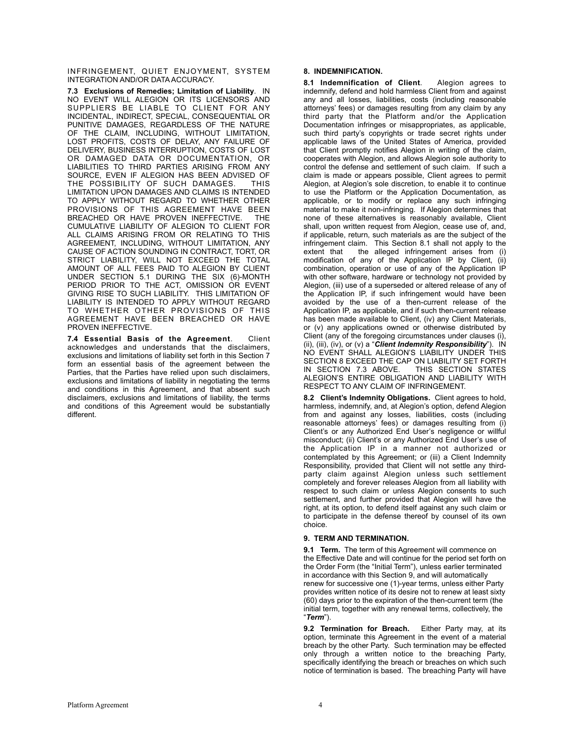INFRINGEMENT, QUIET ENJOYMENT, SYSTEM INTEGRATION AND/OR DATA ACCURACY.

**7.3 Exclusions of Remedies; Limitation of Liability**. IN NO EVENT WILL ALEGION OR ITS LICENSORS AND SUPPLIERS BE LIABLE TO CLIENT FOR ANY INCIDENTAL, INDIRECT, SPECIAL, CONSEQUENTIAL OR PUNITIVE DAMAGES, REGARDLESS OF THE NATURE OF THE CLAIM, INCLUDING, WITHOUT LIMITATION, LOST PROFITS, COSTS OF DELAY, ANY FAILURE OF DELIVERY, BUSINESS INTERRUPTION, COSTS OF LOST OR DAMAGED DATA OR DOCUMENTATION, OR LIABILITIES TO THIRD PARTIES ARISING FROM ANY SOURCE, EVEN IF ALEGION HAS BEEN ADVISED OF<br>THE POSSIBILITY OF SUCH DAMAGES THIS THE POSSIBILITY OF SUCH DAMAGES. LIMITATION UPON DAMAGES AND CLAIMS IS INTENDED TO APPLY WITHOUT REGARD TO WHETHER OTHER PROVISIONS OF THIS AGREEMENT HAVE BEEN BREACHED OR HAVE PROVEN INEFFECTIVE. THE CUMULATIVE LIABILITY OF ALEGION TO CLIENT FOR ALL CLAIMS ARISING FROM OR RELATING TO THIS AGREEMENT, INCLUDING, WITHOUT LIMITATION, ANY CAUSE OF ACTION SOUNDING IN CONTRACT, TORT, OR STRICT LIABILITY, WILL NOT EXCEED THE TOTAL AMOUNT OF ALL FEES PAID TO ALEGION BY CLIENT UNDER SECTION 5.1 DURING THE SIX (6)-MONTH PERIOD PRIOR TO THE ACT, OMISSION OR EVENT GIVING RISE TO SUCH LIABILITY. THIS LIMITATION OF LIABILITY IS INTENDED TO APPLY WITHOUT REGARD TO WHETHER OTHER PROVISIONS OF THIS AGREEMENT HAVE BEEN BREACHED OR HAVE PROVEN INEFFECTIVE.

**7.4 Essential Basis of the Agreement**. Client acknowledges and understands that the disclaimers, exclusions and limitations of liability set forth in this Section 7 form an essential basis of the agreement between the Parties, that the Parties have relied upon such disclaimers, exclusions and limitations of liability in negotiating the terms and conditions in this Agreement, and that absent such disclaimers, exclusions and limitations of liability, the terms and conditions of this Agreement would be substantially different.

# **8. INDEMNIFICATION.**

**8.1 Indemnification of Client**. Alegion agrees to indemnify, defend and hold harmless Client from and against any and all losses, liabilities, costs (including reasonable attorneys' fees) or damages resulting from any claim by any third party that the Platform and/or the Application Documentation infringes or misappropriates, as applicable, such third party's copyrights or trade secret rights under applicable laws of the United States of America, provided that Client promptly notifies Alegion in writing of the claim, cooperates with Alegion, and allows Alegion sole authority to control the defense and settlement of such claim. If such a claim is made or appears possible, Client agrees to permit Alegion, at Alegion's sole discretion, to enable it to continue to use the Platform or the Application Documentation, as applicable, or to modify or replace any such infringing material to make it non-infringing. If Alegion determines that none of these alternatives is reasonably available, Client shall, upon written request from Alegion, cease use of, and, if applicable, return, such materials as are the subject of the infringement claim. This Section 8.1 shall not apply to the extent that the alleged infringement arises from (i) modification of any of the Application IP by Client, (ii) combination, operation or use of any of the Application IP with other software, hardware or technology not provided by Alegion, (iii) use of a superseded or altered release of any of the Application IP, if such infringement would have been avoided by the use of a then-current release of the Application IP, as applicable, and if such then-current release has been made available to Client, (iv) any Client Materials, or (v) any applications owned or otherwise distributed by Client (any of the foregoing circumstances under clauses (i), (ii), (iii), (iv), or (v) a "*Client Indemnity Responsibility*"). IN NO EVENT SHALL ALEGION'S LIABILITY UNDER THIS SECTION 8 EXCEED THE CAP ON LIABILITY SET FORTH IN SECTION 7.3 ABOVE. THIS SECTION STATES IN SECTION 7.3 ABOVE. ALEGION'S ENTIRE OBLIGATION AND LIABILITY WITH RESPECT TO ANY CLAIM OF INFRINGEMENT.

**8.2 Client's Indemnity Obligations.** Client agrees to hold, harmless, indemnify, and, at Alegion's option, defend Alegion from and against any losses, liabilities, costs (including reasonable attorneys' fees) or damages resulting from (i) Client's or any Authorized End User's negligence or willful misconduct; (ii) Client's or any Authorized End User's use of the Application IP in a manner not authorized or contemplated by this Agreement; or (iii) a Client Indemnity Responsibility, provided that Client will not settle any thirdparty claim against Alegion unless such settlement completely and forever releases Alegion from all liability with respect to such claim or unless Alegion consents to such settlement, and further provided that Alegion will have the right, at its option, to defend itself against any such claim or to participate in the defense thereof by counsel of its own choice.

# **9. TERM AND TERMINATION.**

**9.1 Term.** The term of this Agreement will commence on the Effective Date and will continue for the period set forth on the Order Form (the "Initial Term"), unless earlier terminated in accordance with this Section 9, and will automatically renew for successive one (1)-year terms, unless either Party provides written notice of its desire not to renew at least sixty (60) days prior to the expiration of the then-current term (the initial term, together with any renewal terms, collectively, the "*Term*").

**9.2 Termination for Breach.** Either Party may, at its option, terminate this Agreement in the event of a material breach by the other Party. Such termination may be effected only through a written notice to the breaching Party, specifically identifying the breach or breaches on which such notice of termination is based. The breaching Party will have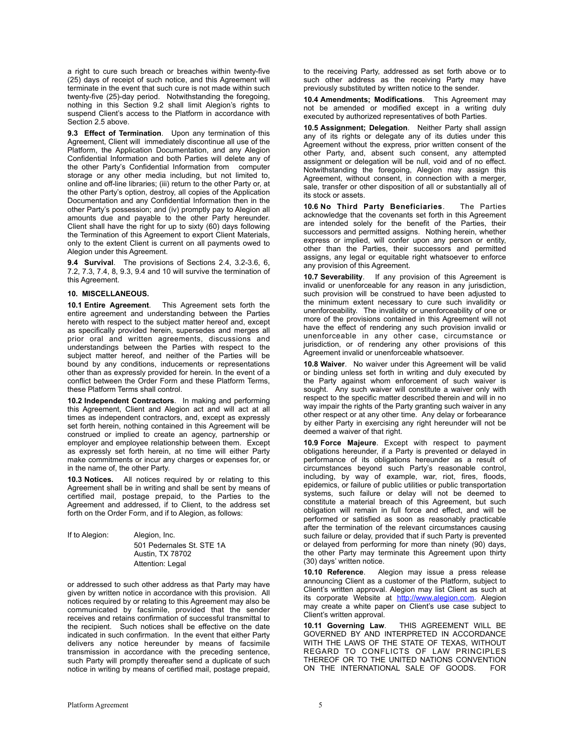a right to cure such breach or breaches within twenty-five (25) days of receipt of such notice, and this Agreement will terminate in the event that such cure is not made within such twenty-five (25)-day period. Notwithstanding the foregoing, nothing in this Section 9.2 shall limit Alegion's rights to suspend Client's access to the Platform in accordance with Section 2.5 above.

**9.3 Effect of Termination**. Upon any termination of this Agreement, Client will immediately discontinue all use of the Platform, the Application Documentation, and any Alegion Confidential Information and both Parties will delete any of the other Party's Confidential Information from computer storage or any other media including, but not limited to, online and off-line libraries; (iii) return to the other Party or, at the other Party's option, destroy, all copies of the Application Documentation and any Confidential Information then in the other Party's possession; and (iv) promptly pay to Alegion all amounts due and payable to the other Party hereunder. Client shall have the right for up to sixty (60) days following the Termination of this Agreement to export Client Materials, only to the extent Client is current on all payments owed to Alegion under this Agreement.

**9.4 Survival**. The provisions of Sections 2.4, 3.2-3.6, 6, 7.2, 7.3, 7.4, 8, 9.3, 9.4 and 10 will survive the termination of this Agreement.

#### **10. MISCELLANEOUS.**

**10.1 Entire Agreement**. This Agreement sets forth the entire agreement and understanding between the Parties hereto with respect to the subject matter hereof and, except as specifically provided herein, supersedes and merges all prior oral and written agreements, discussions and understandings between the Parties with respect to the subject matter hereof, and neither of the Parties will be bound by any conditions, inducements or representations other than as expressly provided for herein. In the event of a conflict between the Order Form and these Platform Terms, these Platform Terms shall control.

**10.2 Independent Contractors**. In making and performing this Agreement, Client and Alegion act and will act at all times as independent contractors, and, except as expressly set forth herein, nothing contained in this Agreement will be construed or implied to create an agency, partnership or employer and employee relationship between them. Except as expressly set forth herein, at no time will either Party make commitments or incur any charges or expenses for, or in the name of, the other Party.

**10.3 Notices.** All notices required by or relating to this Agreement shall be in writing and shall be sent by means of certified mail, postage prepaid, to the Parties to the Agreement and addressed, if to Client, to the address set forth on the Order Form, and if to Alegion, as follows:

| If to Alegion: | Alegion, Inc.                                        |
|----------------|------------------------------------------------------|
|                | 501 Pedernales St. STE 1A<br><b>Austin, TX 78702</b> |
|                | Attention: Legal                                     |

or addressed to such other address as that Party may have given by written notice in accordance with this provision. All notices required by or relating to this Agreement may also be communicated by facsimile, provided that the sender receives and retains confirmation of successful transmittal to the recipient. Such notices shall be effective on the date indicated in such confirmation. In the event that either Party delivers any notice hereunder by means of facsimile transmission in accordance with the preceding sentence, such Party will promptly thereafter send a duplicate of such notice in writing by means of certified mail, postage prepaid,

to the receiving Party, addressed as set forth above or to such other address as the receiving Party may have previously substituted by written notice to the sender.

**10.4 Amendments; Modifications**. This Agreement may not be amended or modified except in a writing duly executed by authorized representatives of both Parties.

**10.5 Assignment; Delegation**. Neither Party shall assign any of its rights or delegate any of its duties under this Agreement without the express, prior written consent of the other Party, and, absent such consent, any attempted assignment or delegation will be null, void and of no effect. Notwithstanding the foregoing, Alegion may assign this Agreement, without consent, in connection with a merger, sale, transfer or other disposition of all or substantially all of its stock or assets.

**10.6 No Third Party Beneficiaries**. The Parties acknowledge that the covenants set forth in this Agreement are intended solely for the benefit of the Parties, their successors and permitted assigns. Nothing herein, whether express or implied, will confer upon any person or entity, other than the Parties, their successors and permitted assigns, any legal or equitable right whatsoever to enforce any provision of this Agreement.

**10.7 Severability**. If any provision of this Agreement is invalid or unenforceable for any reason in any jurisdiction, such provision will be construed to have been adjusted to the minimum extent necessary to cure such invalidity or unenforceability. The invalidity or unenforceability of one or more of the provisions contained in this Agreement will not have the effect of rendering any such provision invalid or unenforceable in any other case, circumstance or jurisdiction, or of rendering any other provisions of this Agreement invalid or unenforceable whatsoever.

**10.8 Waiver**. No waiver under this Agreement will be valid or binding unless set forth in writing and duly executed by the Party against whom enforcement of such waiver is sought. Any such waiver will constitute a waiver only with respect to the specific matter described therein and will in no way impair the rights of the Party granting such waiver in any other respect or at any other time. Any delay or forbearance by either Party in exercising any right hereunder will not be deemed a waiver of that right.

**10.9 Force Majeure**. Except with respect to payment obligations hereunder, if a Party is prevented or delayed in performance of its obligations hereunder as a result of circumstances beyond such Party's reasonable control, including, by way of example, war, riot, fires, floods, epidemics, or failure of public utilities or public transportation systems, such failure or delay will not be deemed to constitute a material breach of this Agreement, but such obligation will remain in full force and effect, and will be performed or satisfied as soon as reasonably practicable after the termination of the relevant circumstances causing such failure or delay, provided that if such Party is prevented or delayed from performing for more than ninety (90) days, the other Party may terminate this Agreement upon thirty (30) days' written notice.

**10.10 Reference**. Alegion may issue a press release announcing Client as a customer of the Platform, subject to Client's written approval. Alegion may list Client as such at its corporate Website at http://www.alegion.com Alegion may create a white paper on Client's use case subject to

Client's written approval.<br>10.11 Governing Law. **10.11 Governing Law**. THIS AGREEMENT WILL BE GOVERNED BY AND INTERPRETED IN ACCORDANCE WITH THE LAWS OF THE STATE OF TEXAS, WITHOUT REGARD TO CONFLICTS OF LAW PRINCIPLES THEREOF OR TO THE UNITED NATIONS CONVENTION ON THE INTERNATIONAL SALE OF GOODS. FOR